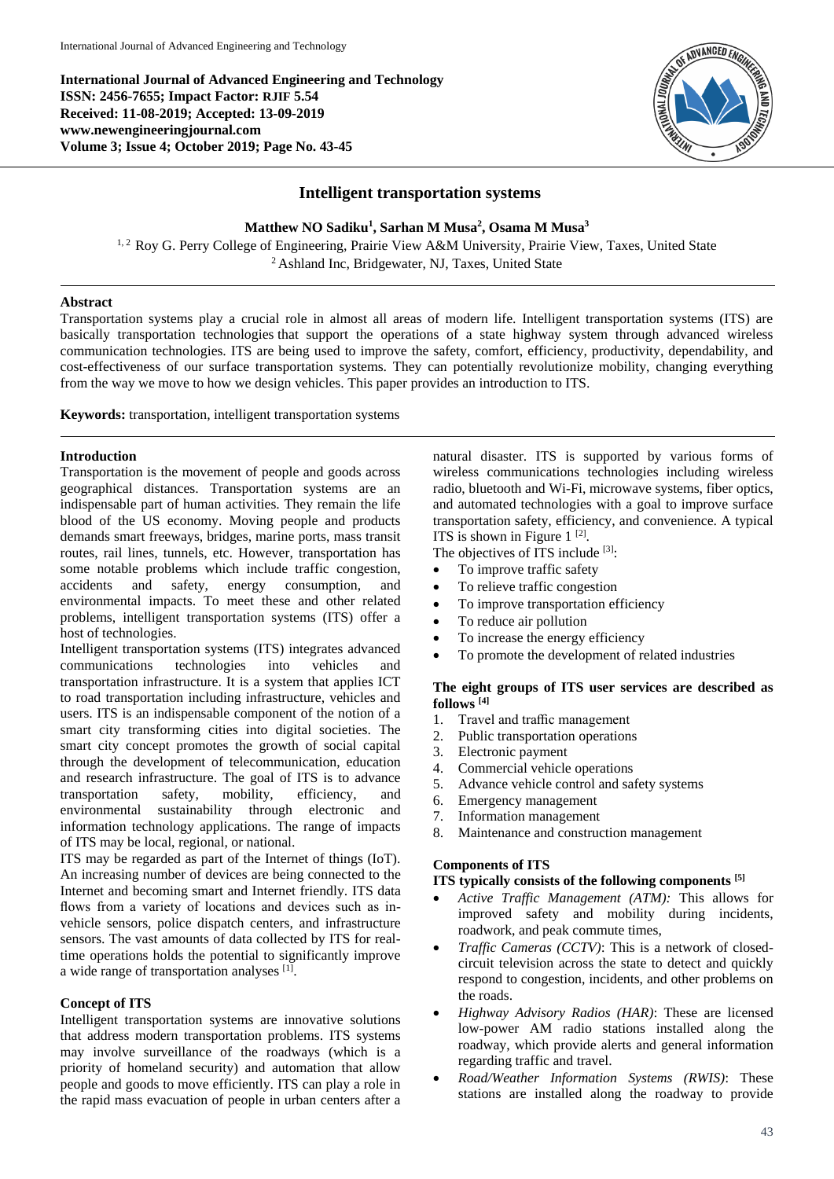**International Journal of Advanced Engineering and Technology ISSN: 2456-7655; Impact Factor: RJIF 5.54 Received: 11-08-2019; Accepted: 13-09-2019 www.newengineeringjournal.com Volume 3; Issue 4; October 2019; Page No. 43-45**



# **Intelligent transportation systems**

**Matthew NO Sadiku<sup>1</sup> , Sarhan M Musa<sup>2</sup> , Osama M Musa<sup>3</sup>**

<sup>1,2</sup> Roy G. Perry College of Engineering, Prairie View A&M University, Prairie View, Taxes, United State <sup>2</sup> Ashland Inc, Bridgewater, NJ, Taxes, United State

## **Abstract**

Transportation systems play a crucial role in almost all areas of modern life. Intelligent transportation systems (ITS) are basically transportation technologies that support the operations of a state highway system through advanced wireless communication technologies. ITS are being used to improve the safety, comfort, efficiency, productivity, dependability, and cost-effectiveness of our surface transportation systems. They can potentially revolutionize mobility, changing everything from the way we move to how we design vehicles. This paper provides an introduction to ITS.

**Keywords:** transportation, intelligent transportation systems

### **Introduction**

Transportation is the movement of people and goods across geographical distances. Transportation systems are an indispensable part of human activities. They remain the life blood of the US economy. Moving people and products demands smart freeways, bridges, marine ports, mass transit routes, rail lines, tunnels, etc. However, transportation has some notable problems which include traffic congestion, accidents and safety, energy consumption, and environmental impacts. To meet these and other related problems, intelligent transportation systems (ITS) offer a host of technologies.

Intelligent transportation systems (ITS) integrates advanced communications technologies into vehicles and transportation infrastructure. It is a system that applies ICT to road transportation including infrastructure, vehicles and users. ITS is an indispensable component of the notion of a smart city transforming cities into digital societies. The smart city concept promotes the growth of social capital through the development of telecommunication, education and research infrastructure. The goal of ITS is to advance transportation safety, mobility, efficiency, and environmental sustainability through electronic and information technology applications. The range of impacts of ITS may be local, regional, or national.

ITS may be regarded as part of the Internet of things (IoT). An increasing number of devices are being connected to the Internet and becoming smart and Internet friendly. ITS data flows from a variety of locations and devices such as invehicle sensors, police dispatch centers, and infrastructure sensors. The vast amounts of data collected by ITS for realtime operations holds the potential to significantly improve a wide range of transportation analyses [1].

## **Concept of ITS**

Intelligent transportation systems are innovative solutions that address modern transportation problems. ITS systems may involve surveillance of the roadways (which is a priority of homeland security) and automation that allow people and goods to move efficiently. ITS can play a role in the rapid mass evacuation of people in urban centers after a

natural disaster. ITS is supported by various forms of wireless communications technologies including wireless radio, bluetooth and Wi-Fi, microwave systems, fiber optics, and automated technologies with a goal to improve surface transportation safety, efficiency, and convenience. A typical ITS is shown in Figure  $1^{[2]}$ .

The objectives of ITS include [3]:

- To improve traffic safety
- To relieve traffic congestion
- To improve transportation efficiency
- To reduce air pollution
- To increase the energy efficiency
- To promote the development of related industries

### **The eight groups of ITS user services are described as follows [4]**

- 1. Travel and traffic management
- 2. Public transportation operations
- 3. Electronic payment
- 4. Commercial vehicle operations
- 5. Advance vehicle control and safety systems
- 6. Emergency management
- 7. Information management
- 8. Maintenance and construction management

## **Components of ITS**

#### **ITS typically consists of the following components [5]**

- *Active Traffic Management (ATM):* This allows for improved safety and mobility during incidents, roadwork, and peak commute times,
- *Traffic Cameras (CCTV)*: This is a network of closedcircuit television across the state to detect and quickly respond to congestion, incidents, and other problems on the roads.
- *Highway Advisory Radios (HAR)*: These are licensed low-power AM radio stations installed along the roadway, which provide alerts and general information regarding traffic and travel.
- *Road/Weather Information Systems (RWIS)*: These stations are installed along the roadway to provide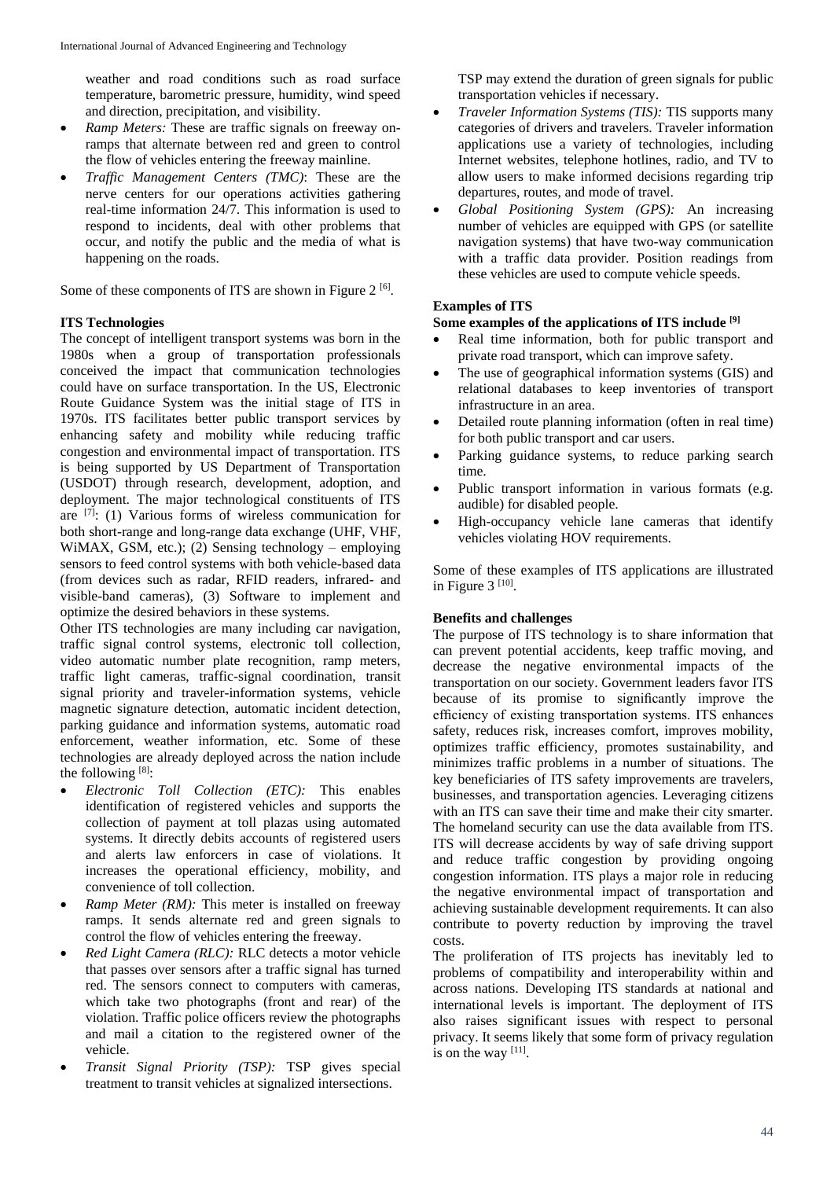weather and road conditions such as road surface temperature, barometric pressure, humidity, wind speed and direction, precipitation, and visibility.

- *Ramp Meters:* These are traffic signals on freeway onramps that alternate between red and green to control the flow of vehicles entering the freeway mainline.
- *Traffic Management Centers (TMC)*: These are the nerve centers for our operations activities gathering real-time information 24/7. This information is used to respond to incidents, deal with other problems that occur, and notify the public and the media of what is happening on the roads.

Some of these components of ITS are shown in Figure  $2^{[6]}$ .

# **ITS Technologies**

The concept of intelligent transport systems was born in the 1980s when a group of transportation professionals conceived the impact that communication technologies could have on surface transportation. In the US, Electronic Route Guidance System was the initial stage of ITS in 1970s. ITS facilitates better public transport services by enhancing safety and mobility while reducing traffic congestion and environmental impact of transportation. ITS is being supported by US Department of Transportation (USDOT) through research, development, adoption, and deployment. The major technological constituents of ITS are  $[7]$ : (1) Various forms of wireless communication for both short-range and long-range data exchange (UHF, VHF, WiMAX, GSM, etc.); (2) Sensing technology – employing sensors to feed control systems with both vehicle-based data (from devices such as radar, RFID readers, infrared- and visible-band cameras), (3) Software to implement and optimize the desired behaviors in these systems.

Other ITS technologies are many including car navigation, traffic signal control systems, electronic toll collection, video automatic number plate recognition, ramp meters, traffic light cameras, traffic-signal coordination, transit signal priority and traveler-information systems, vehicle magnetic signature detection, automatic incident detection, parking guidance and information systems, automatic road enforcement, weather information, etc. Some of these technologies are already deployed across the nation include the following  $[8]$ :

- *Electronic Toll Collection (ETC):* This enables identification of registered vehicles and supports the collection of payment at toll plazas using automated systems. It directly debits accounts of registered users and alerts law enforcers in case of violations. It increases the operational efficiency, mobility, and convenience of toll collection.
- *Ramp Meter (RM):* This meter is installed on freeway ramps. It sends alternate red and green signals to control the flow of vehicles entering the freeway.
- *Red Light Camera (RLC):* RLC detects a motor vehicle that passes over sensors after a traffic signal has turned red. The sensors connect to computers with cameras, which take two photographs (front and rear) of the violation. Traffic police officers review the photographs and mail a citation to the registered owner of the vehicle.
- *Transit Signal Priority (TSP):* TSP gives special treatment to transit vehicles at signalized intersections.

TSP may extend the duration of green signals for public transportation vehicles if necessary.

- *Traveler Information Systems (TIS):* TIS supports many categories of drivers and travelers. Traveler information applications use a variety of technologies, including Internet websites, telephone hotlines, radio, and TV to allow users to make informed decisions regarding trip departures, routes, and mode of travel.
- *Global Positioning System (GPS):* An increasing number of vehicles are equipped with GPS (or satellite navigation systems) that have two-way communication with a traffic data provider. Position readings from these vehicles are used to compute vehicle speeds.

# **Examples of ITS**

## **Some examples of the applications of ITS include [9]**

- Real time information, both for public transport and private road transport, which can improve safety.
- The use of geographical information systems (GIS) and relational databases to keep inventories of transport infrastructure in an area.
- Detailed route planning information (often in real time) for both public transport and car users.
- Parking guidance systems, to reduce parking search time.
- Public transport information in various formats (e.g. audible) for disabled people.
- High-occupancy vehicle lane cameras that identify vehicles violating HOV requirements.

Some of these examples of ITS applications are illustrated in Figure  $3^{[10]}$ .

## **Benefits and challenges**

The purpose of ITS technology is to share information that can prevent potential accidents, keep traffic moving, and decrease the negative environmental impacts of the transportation on our society. Government leaders favor ITS because of its promise to significantly improve the efficiency of existing transportation systems. ITS enhances safety, reduces risk, increases comfort, improves mobility, optimizes traffic efficiency, promotes sustainability, and minimizes traffic problems in a number of situations. The key beneficiaries of ITS safety improvements are travelers, businesses, and transportation agencies. Leveraging citizens with an ITS can save their time and make their city smarter. The homeland security can use the data available from ITS. ITS will decrease accidents by way of safe driving support and reduce traffic congestion by providing ongoing congestion information. ITS plays a major role in reducing the negative environmental impact of transportation and achieving sustainable development requirements. It can also contribute to poverty reduction by improving the travel costs.

The proliferation of ITS projects has inevitably led to problems of compatibility and interoperability within and across nations. Developing ITS standards at national and international levels is important. The deployment of ITS also raises significant issues with respect to personal privacy. It seems likely that some form of privacy regulation is on the way  $[11]$ .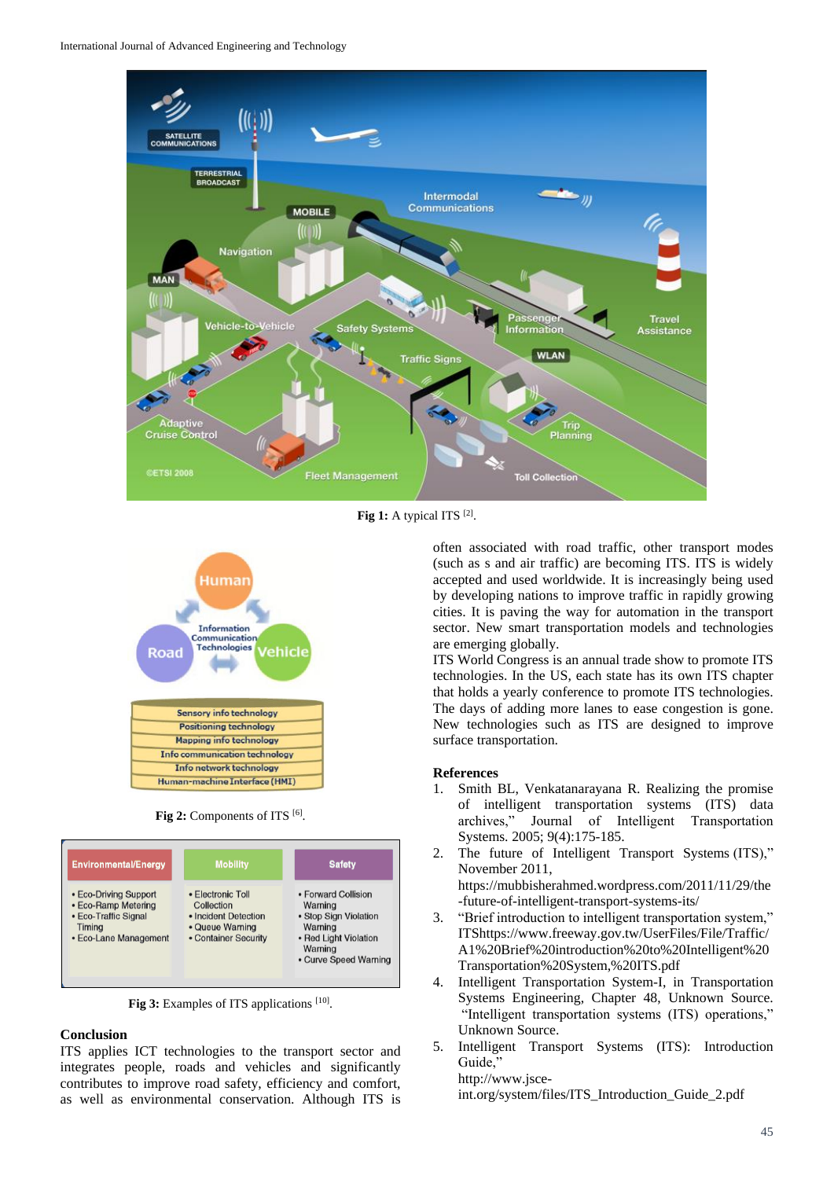

Fig 1: A typical ITS [2].

![](_page_2_Figure_3.jpeg)

**Fig 2:** Components of ITS [6] .

![](_page_2_Figure_5.jpeg)

Fig 3: Examples of ITS applications [10].

## **Conclusion**

ITS applies ICT technologies to the transport sector and integrates people, roads and vehicles and significantly contributes to improve road safety, efficiency and comfort, as well as environmental conservation. Although ITS is

often associated with road traffic, other transport modes (such as s and air traffic) are becoming ITS. ITS is widely accepted and used worldwide. It is increasingly being used by developing nations to improve traffic in rapidly growing cities. It is paving the way for automation in the transport sector. New smart transportation models and technologies are emerging globally.

ITS World Congress is an annual trade show to promote ITS technologies. In the US, each state has its own ITS chapter that holds a yearly conference to promote ITS technologies. The days of adding more lanes to ease congestion is gone. New technologies such as ITS are designed to improve surface transportation.

#### **References**

- 1. Smith BL, Venkatanarayana R. Realizing the promise of intelligent transportation systems (ITS) data archives," Journal of Intelligent Transportation Systems. 2005; 9(4):175-185.
- 2. The future of Intelligent Transport Systems (ITS)," November 2011, https://mubbisherahmed.wordpress.com/2011/11/29/the -future-of-intelligent-transport-systems-its/
- 3. "Brief introduction to intelligent transportation system," ITShttps://www.freeway.gov.tw/UserFiles/File/Traffic/ A1%20Brief%20introduction%20to%20Intelligent%20 Transportation%20System,%20ITS.pdf
- 4. Intelligent Transportation System-I, in Transportation Systems Engineering, Chapter 48, Unknown Source. "Intelligent transportation systems (ITS) operations," Unknown Source.
- 5. Intelligent Transport Systems (ITS): Introduction Guide," http://www.jsce-

int.org/system/files/ITS\_Introduction\_Guide\_2.pdf